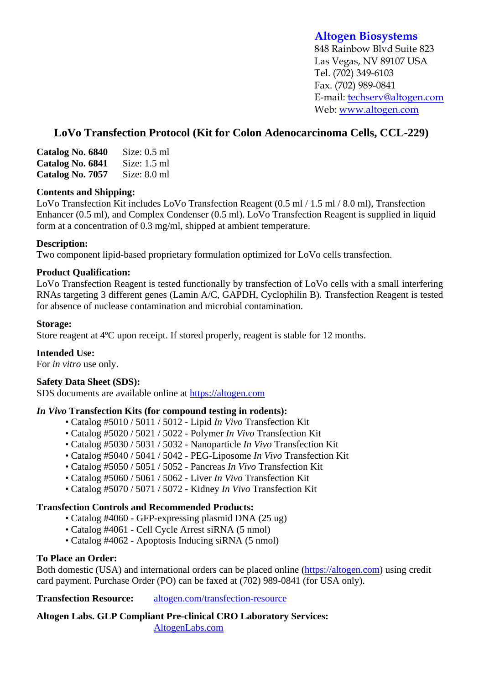# **Altogen Biosystems**

848 Rainbow Blvd Suite 823 Las Vegas, NV 89107 USA Tel. (702) 349-6103 Fax. (702) 989-0841 E-mail: techserv@altogen.com Web: www.altogen.com

# **LoVo Transfection Protocol (Kit for Colon Adenocarcinoma Cells, CCL-229)**

| Catalog No. 6840 | Size: $0.5$ ml |
|------------------|----------------|
| Catalog No. 6841 | Size: $1.5$ ml |
| Catalog No. 7057 | Size: $8.0$ ml |

### **Contents and Shipping:**

LoVo Transfection Kit includes LoVo Transfection Reagent (0.5 ml / 1.5 ml / 8.0 ml), Transfection Enhancer (0.5 ml), and Complex Condenser (0.5 ml). LoVo Transfection Reagent is supplied in liquid form at a concentration of 0.3 mg/ml, shipped at ambient temperature.

### **Description:**

Two component lipid-based proprietary formulation optimized for LoVo cells transfection.

### **Product Qualification:**

LoVo Transfection Reagent is tested functionally by transfection of LoVo cells with a small interfering RNAs targeting 3 different genes (Lamin A/C, GAPDH, Cyclophilin B). Transfection Reagent is tested for absence of nuclease contamination and microbial contamination.

### **Storage:**

Store reagent at 4ºC upon receipt. If stored properly, reagent is stable for 12 months.

## **Intended Use:**

For *in vitro* use only.

## **Safety Data Sheet (SDS):**

SDS documents are available online at https://altogen.com

#### *In Vivo* **Transfection Kits (for compound testing in rodents):**

- Catalog #5010 / 5011 / 5012 Lipid *In Vivo* Transfection Kit
- Catalog #5020 / 5021 / 5022 Polymer *In Vivo* Transfection Kit
- Catalog #5030 / 5031 / 5032 Nanoparticle *In Vivo* Transfection Kit
- Catalog #5040 / 5041 / 5042 PEG-Liposome *In Vivo* Transfection Kit
- Catalog #5050 / 5051 / 5052 Pancreas *In Vivo* Transfection Kit
- Catalog #5060 / 5061 / 5062 Liver *In Vivo* Transfection Kit
- Catalog #5070 / 5071 / 5072 Kidney *In Vivo* Transfection Kit

#### **Transfection Controls and Recommended Products:**

- Catalog #4060 GFP-expressing plasmid DNA (25 ug)
- Catalog #4061 Cell Cycle Arrest siRNA (5 nmol)
- Catalog #4062 Apoptosis Inducing siRNA (5 nmol)

#### **To Place an Order:**

Both domestic (USA) and international orders can be placed online (https://altogen.com) using credit card payment. Purchase Order (PO) can be faxed at (702) 989-0841 (for USA only).

**Transfection Resource:** altogen.com/transfection-resource

**Altogen Labs. GLP Compliant Pre-clinical CRO Laboratory Services:**  AltogenLabs.com